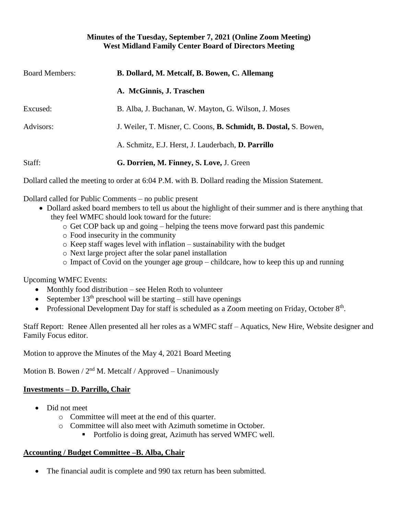#### **Minutes of the Tuesday, September 7, 2021 (Online Zoom Meeting) West Midland Family Center Board of Directors Meeting**

| <b>Board Members:</b> | B. Dollard, M. Metcalf, B. Bowen, C. Allemang                           |
|-----------------------|-------------------------------------------------------------------------|
|                       | A. McGinnis, J. Traschen                                                |
| Excused:              | B. Alba, J. Buchanan, W. Mayton, G. Wilson, J. Moses                    |
| Advisors:             | J. Weiler, T. Misner, C. Coons, <b>B. Schmidt, B. Dostal,</b> S. Bowen, |
|                       | A. Schmitz, E.J. Herst, J. Lauderbach, D. Parrillo                      |
| Staff:                | G. Dorrien, M. Finney, S. Love, J. Green                                |
|                       |                                                                         |

Dollard called the meeting to order at 6:04 P.M. with B. Dollard reading the Mission Statement.

Dollard called for Public Comments – no public present

- Dollard asked board members to tell us about the highlight of their summer and is there anything that they feel WMFC should look toward for the future:
	- o Get COP back up and going helping the teens move forward past this pandemic
	- o Food insecurity in the community
	- o Keep staff wages level with inflation sustainability with the budget
	- o Next large project after the solar panel installation
	- o Impact of Covid on the younger age group childcare, how to keep this up and running

Upcoming WMFC Events:

- Monthly food distribution see Helen Roth to volunteer
- September  $13<sup>th</sup>$  preschool will be starting still have openings
- Professional Development Day for staff is scheduled as a Zoom meeting on Friday, October 8<sup>th</sup>.

Staff Report: Renee Allen presented all her roles as a WMFC staff – Aquatics, New Hire, Website designer and Family Focus editor.

Motion to approve the Minutes of the May 4, 2021 Board Meeting

Motion B. Bowen /  $2<sup>nd</sup>$  M. Metcalf / Approved – Unanimously

# **Investments – D. Parrillo, Chair**

- Did not meet
	- o Committee will meet at the end of this quarter.
	- o Committee will also meet with Azimuth sometime in October.
		- Portfolio is doing great, Azimuth has served WMFC well.

#### **Accounting / Budget Committee –B. Alba, Chair**

The financial audit is complete and 990 tax return has been submitted.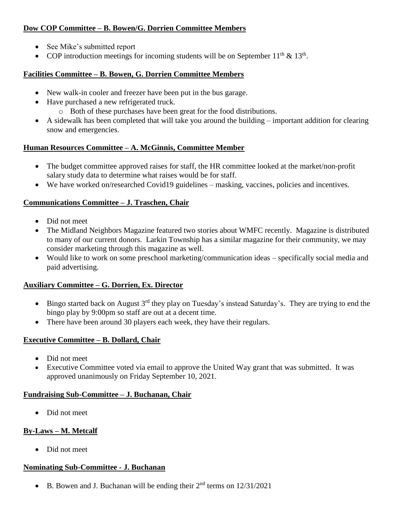# **Dow COP Committee – B. Bowen/G. Dorrien Committee Members**

- See Mike's submitted report
- COP introduction meetings for incoming students will be on September  $11<sup>th</sup>$  &  $13<sup>th</sup>$ .

### **Facilities Committee – B. Bowen, G. Dorrien Committee Members**

- New walk-in cooler and freezer have been put in the bus garage.
- Have purchased a new refrigerated truck.
	- o Both of these purchases have been great for the food distributions.
- A sidewalk has been completed that will take you around the building important addition for clearing snow and emergencies.

### **Human Resources Committee – A. McGinnis, Committee Member**

- The budget committee approved raises for staff, the HR committee looked at the market/non-profit salary study data to determine what raises would be for staff.
- We have worked on/researched Covid19 guidelines masking, vaccines, policies and incentives.

### **Communications Committee – J. Traschen, Chair**

- Did not meet
- The Midland Neighbors Magazine featured two stories about WMFC recently. Magazine is distributed to many of our current donors. Larkin Township has a similar magazine for their community, we may consider marketing through this magazine as well.
- Would like to work on some preschool marketing/communication ideas specifically social media and paid advertising.

# **Auxiliary Committee – G. Dorrien, Ex. Director**

- Bingo started back on August  $3<sup>rd</sup>$  they play on Tuesday's instead Saturday's. They are trying to end the bingo play by 9:00pm so staff are out at a decent time.
- There have been around 30 players each week, they have their regulars.

# **Executive Committee – B. Dollard, Chair**

- Did not meet
- Executive Committee voted via email to approve the United Way grant that was submitted. It was approved unanimously on Friday September 10, 2021.

#### **Fundraising Sub-Committee – J. Buchanan, Chair**

• Did not meet

# **By-Laws – M. Metcalf**

• Did not meet

#### **Nominating Sub-Committee - J. Buchanan**

• B. Bowen and J. Buchanan will be ending their  $2<sup>nd</sup>$  terms on  $12/31/2021$